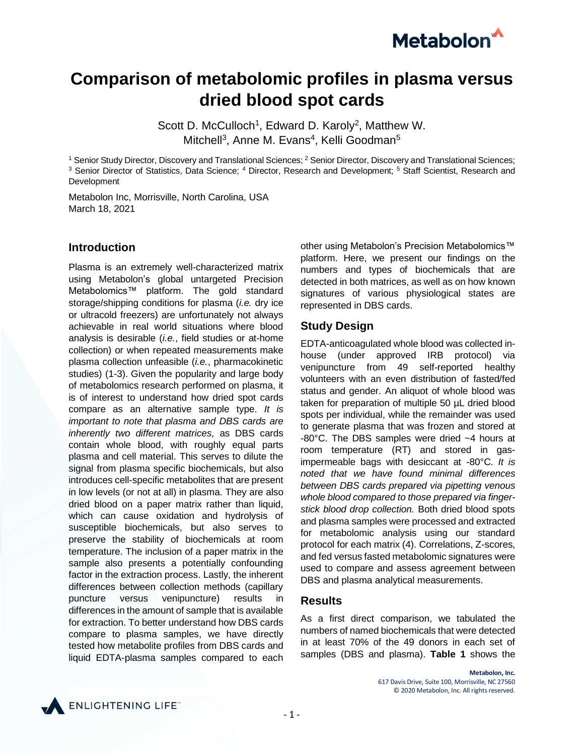

# **Comparison of metabolomic profiles in plasma versus dried blood spot cards**

Scott D. McCulloch<sup>1</sup>, Edward D. Karoly<sup>2</sup>, Matthew W. Mitchell<sup>3</sup>, Anne M. Evans<sup>4</sup>, Kelli Goodman<sup>5</sup>

<sup>1</sup> Senior Study Director, Discovery and Translational Sciences; <sup>2</sup> Senior Director, Discovery and Translational Sciences; <sup>3</sup> Senior Director of Statistics, Data Science; <sup>4</sup> Director, Research and Development; <sup>5</sup> Staff Scientist, Research and Development

Metabolon Inc, Morrisville, North Carolina, USA March 18, 2021

#### **Introduction**

Plasma is an extremely well-characterized matrix using Metabolon's global untargeted Precision Metabolomics™ platform. The gold standard storage/shipping conditions for plasma (*i.e.* dry ice or ultracold freezers) are unfortunately not always achievable in real world situations where blood analysis is desirable (*i.e.*, field studies or at-home collection) or when repeated measurements make plasma collection unfeasible (*i.e.*, pharmacokinetic studies) (1-3). Given the popularity and large body of metabolomics research performed on plasma, it is of interest to understand how dried spot cards compare as an alternative sample type. *It is important to note that plasma and DBS cards are inherently two different matrices*, as DBS cards contain whole blood, with roughly equal parts plasma and cell material. This serves to dilute the signal from plasma specific biochemicals, but also introduces cell-specific metabolites that are present in low levels (or not at all) in plasma. They are also dried blood on a paper matrix rather than liquid, which can cause oxidation and hydrolysis of susceptible biochemicals, but also serves to preserve the stability of biochemicals at room temperature. The inclusion of a paper matrix in the sample also presents a potentially confounding factor in the extraction process. Lastly, the inherent differences between collection methods (capillary puncture versus venipuncture) results in differences in the amount of sample that is available for extraction. To better understand how DBS cards compare to plasma samples, we have directly tested how metabolite profiles from DBS cards and liquid EDTA-plasma samples compared to each

other using Metabolon's Precision Metabolomics™ platform. Here, we present our findings on the numbers and types of biochemicals that are detected in both matrices, as well as on how known signatures of various physiological states are represented in DBS cards.

## **Study Design**

EDTA-anticoagulated whole blood was collected inhouse (under approved IRB protocol) via venipuncture from 49 self-reported healthy volunteers with an even distribution of fasted/fed status and gender. An aliquot of whole blood was taken for preparation of multiple 50 µL dried blood spots per individual, while the remainder was used to generate plasma that was frozen and stored at -80°C. The DBS samples were dried ~4 hours at room temperature (RT) and stored in gasimpermeable bags with desiccant at -80°C. *It is noted that we have found minimal differences between DBS cards prepared via pipetting venous whole blood compared to those prepared via fingerstick blood drop collection.* Both dried blood spots and plasma samples were processed and extracted for metabolomic analysis using our standard protocol for each matrix (4). Correlations, Z-scores, and fed versus fasted metabolomic signatures were used to compare and assess agreement between DBS and plasma analytical measurements.

#### **Results**

As a first direct comparison, we tabulated the numbers of named biochemicals that were detected in at least 70% of the 49 donors in each set of samples (DBS and plasma). **Table 1** shows the

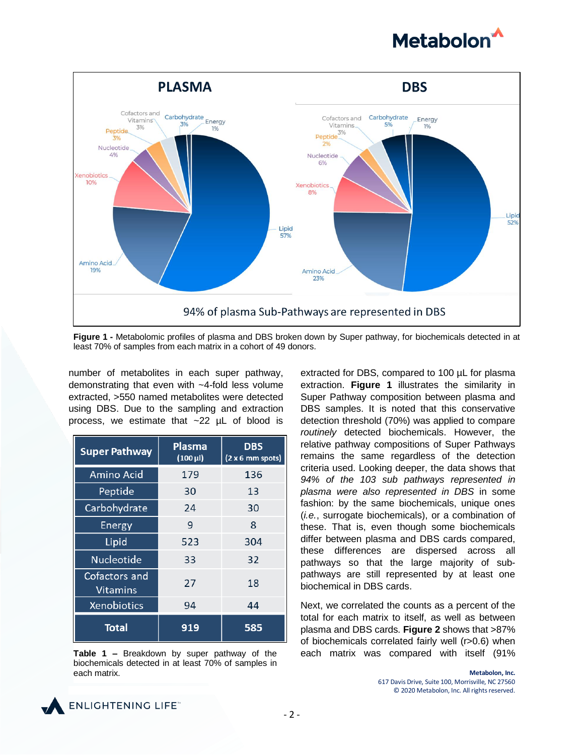



**Figure 1 -** Metabolomic profiles of plasma and DBS broken down by Super pathway, for biochemicals detected in at least 70% of samples from each matrix in a cohort of 49 donors.

number of metabolites in each super pathway, demonstrating that even with ~4-fold less volume extracted, >550 named metabolites were detected using DBS. Due to the sampling and extraction process, we estimate that ~22 µL of blood is

| <b>Super Pathway</b>      | <b>Plasma</b><br>$(100 \,\mu$ l) | <b>DBS</b><br>(2 x 6 mm spots) |
|---------------------------|----------------------------------|--------------------------------|
| Amino Acid                | 179                              | 136                            |
| Peptide                   | 30                               | 13                             |
| Carbohydrate              | 24                               | 30                             |
| <b>Energy</b>             | 9                                | 8                              |
| Lipid                     | 523                              | 304                            |
| <b>Nucleotide</b>         | 33                               | 32                             |
| Cofactors and<br>Vitamins | 27                               | 18                             |
| Xenobiotics               | 94                               | 44                             |
| <b>Total</b>              | 919                              | 585                            |



extracted for DBS, compared to 100 µL for plasma extraction. **Figure 1** illustrates the similarity in Super Pathway composition between plasma and DBS samples. It is noted that this conservative detection threshold (70%) was applied to compare *routinely* detected biochemicals. However, the relative pathway compositions of Super Pathways remains the same regardless of the detection criteria used. Looking deeper, the data shows that *94% of the 103 sub pathways represented in plasma were also represented in DBS* in some fashion: by the same biochemicals, unique ones (*i.e.*, surrogate biochemicals), or a combination of these. That is, even though some biochemicals differ between plasma and DBS cards compared, these differences are dispersed across all pathways so that the large majority of subpathways are still represented by at least one biochemical in DBS cards.

Next, we correlated the counts as a percent of the total for each matrix to itself, as well as between plasma and DBS cards. **Figure 2** shows that >87% of biochemicals correlated fairly well (r>0.6) when **Table 1 –** Breakdown by super pathway of the each matrix was compared with itself (91%

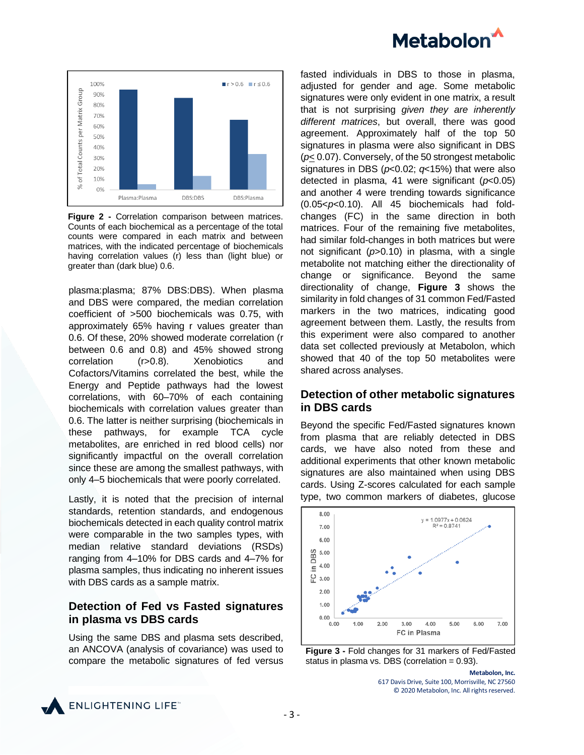



**Figure 2 -** Correlation comparison between matrices. Counts of each biochemical as a percentage of the total counts were compared in each matrix and between matrices, with the indicated percentage of biochemicals having correlation values (r) less than (light blue) or greater than (dark blue) 0.6.

plasma:plasma; 87% DBS:DBS). When plasma and DBS were compared, the median correlation coefficient of >500 biochemicals was 0.75, with approximately 65% having r values greater than 0.6. Of these, 20% showed moderate correlation (r between 0.6 and 0.8) and 45% showed strong correlation (r>0.8). Xenobiotics and Cofactors/Vitamins correlated the best, while the Energy and Peptide pathways had the lowest correlations, with 60–70% of each containing biochemicals with correlation values greater than 0.6. The latter is neither surprising (biochemicals in these pathways, for example TCA cycle metabolites, are enriched in red blood cells) nor significantly impactful on the overall correlation since these are among the smallest pathways, with only 4–5 biochemicals that were poorly correlated.

Lastly, it is noted that the precision of internal standards, retention standards, and endogenous biochemicals detected in each quality control matrix were comparable in the two samples types, with median relative standard deviations (RSDs) ranging from 4–10% for DBS cards and 4–7% for plasma samples, thus indicating no inherent issues with DBS cards as a sample matrix.

## **Detection of Fed vs Fasted signatures in plasma vs DBS cards**

Using the same DBS and plasma sets described, an ANCOVA (analysis of covariance) was used to compare the metabolic signatures of fed versus fasted individuals in DBS to those in plasma, adjusted for gender and age. Some metabolic signatures were only evident in one matrix, a result that is not surprising *given they are inherently different matrices*, but overall, there was good agreement. Approximately half of the top 50 signatures in plasma were also significant in DBS (*p*< 0.07). Conversely, of the 50 strongest metabolic signatures in DBS (*p*<0.02; *q*<15%) that were also detected in plasma, 41 were significant (*p*<0.05) and another 4 were trending towards significance (0.05<*p*<0.10). All 45 biochemicals had foldchanges (FC) in the same direction in both matrices. Four of the remaining five metabolites, had similar fold-changes in both matrices but were not significant (*p*>0.10) in plasma, with a single metabolite not matching either the directionality of change or significance. Beyond the same directionality of change, **Figure 3** shows the similarity in fold changes of 31 common Fed/Fasted markers in the two matrices, indicating good agreement between them. Lastly, the results from this experiment were also compared to another data set collected previously at Metabolon, which showed that 40 of the top 50 metabolites were shared across analyses.

## **Detection of other metabolic signatures in DBS cards**

Beyond the specific Fed/Fasted signatures known from plasma that are reliably detected in DBS cards, we have also noted from these and additional experiments that other known metabolic signatures are also maintained when using DBS cards. Using Z-scores calculated for each sample type, two common markers of diabetes, glucose



**Figure 3 -** Fold changes for 31 markers of Fed/Fasted status in plasma vs. DBS (correlation  $= 0.93$ ).

**Metabolon, Inc.** 617 Davis Drive, Suite 100, Morrisville, NC 27560 © 2020 Metabolon, Inc. All rights reserved.

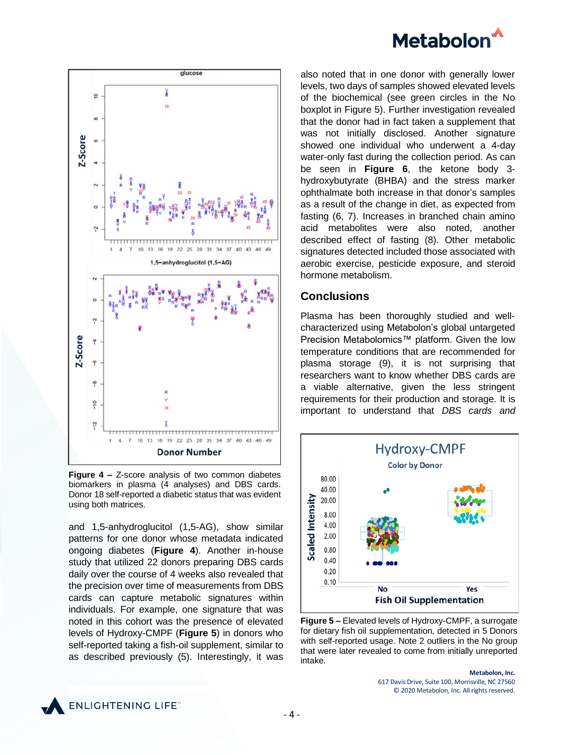# **Metabolon**



**Figure 4 –** Z-score analysis of two common diabetes biomarkers in plasma (4 analyses) and DBS cards. Donor 18 self-reported a diabetic status that was evident using both matrices.

and 1,5-anhydroglucitol (1,5-AG), show similar patterns for one donor whose metadata indicated ongoing diabetes (**Figure 4**). Another in-house study that utilized 22 donors preparing DBS cards daily over the course of 4 weeks also revealed that the precision over time of measurements from DBS cards can capture metabolic signatures within individuals. For example, one signature that was noted in this cohort was the presence of elevated levels of Hydroxy-CMPF (**Figure 5**) in donors who self-reported taking a fish-oil supplement, similar to as described previously (5). Interestingly, it was

also noted that in one donor with generally lower levels, two days of samples showed elevated levels of the biochemical (see green circles in the No boxplot in Figure 5). Further investigation revealed that the donor had in fact taken a supplement that was not initially disclosed. Another signature showed one individual who underwent a 4-day water-only fast during the collection period. As can be seen in **Figure 6**, the ketone body 3 hydroxybutyrate (BHBA) and the stress marker ophthalmate both increase in that donor's samples as a result of the change in diet, as expected from fasting (6, 7). Increases in branched chain amino acid metabolites were also noted, another described effect of fasting (8). Other metabolic signatures detected included those associated with aerobic exercise, pesticide exposure, and steroid hormone metabolism.

# **Conclusions**

Plasma has been thoroughly studied and wellcharacterized using Metabolon's global untargeted Precision Metabolomics™ platform. Given the low temperature conditions that are recommended for plasma storage (9), it is not surprising that researchers want to know whether DBS cards are a viable alternative, given the less stringent requirements for their production and storage. It is important to understand that *DBS cards and* 



**Figure 5 –** Elevated levels of Hydroxy-CMPF, a surrogate for dietary fish oil supplementation, detected in 5 Donors with self-reported usage. Note 2 outliers in the No group that were later revealed to come from initially unreported intake.

**Metabolon, Inc.** 617 Davis Drive, Suite 100, Morrisville, NC 27560 © 2020 Metabolon, Inc. All rights reserved.